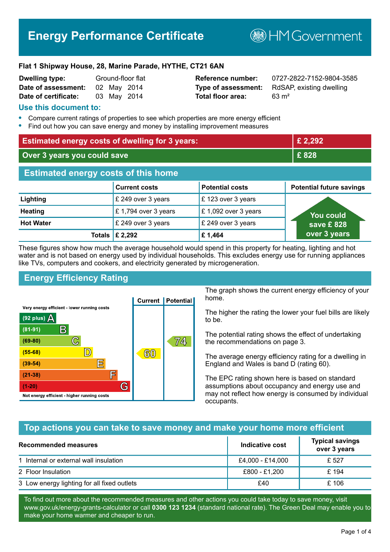# **Energy Performance Certificate**

**B**HMGovernment

#### **Flat 1 Shipway House, 28, Marine Parade, HYTHE, CT21 6AN**

| Dwelling type:       |             | Ground-floor flat |
|----------------------|-------------|-------------------|
| Date of assessment:  | 02 May 2014 |                   |
| Date of certificate: |             | 03 May 2014       |

# **Total floor area:** 63 m<sup>2</sup>

**Reference number:** 0727-2822-7152-9804-3585 **Type of assessment:** RdSAP, existing dwelling

#### **Use this document to:**

- **•** Compare current ratings of properties to see which properties are more energy efficient
- **•** Find out how you can save energy and money by installing improvement measures

| <b>Estimated energy costs of dwelling for 3 years:</b> |                           |                        | £ 2,292                         |
|--------------------------------------------------------|---------------------------|------------------------|---------------------------------|
| Over 3 years you could save                            |                           | £828                   |                                 |
| <b>Estimated energy costs of this home</b>             |                           |                        |                                 |
|                                                        | <b>Current costs</b>      | <b>Potential costs</b> | <b>Potential future savings</b> |
| Lighting                                               | £ 249 over 3 years        | £123 over 3 years      |                                 |
| <b>Heating</b>                                         | £1,794 over 3 years       | £ 1,092 over 3 years   | <b>You could</b>                |
| <b>Hot Water</b>                                       | £ 249 over 3 years        | £ 249 over 3 years     | save £828                       |
|                                                        | Totals $\mathsf{E}$ 2,292 | £1,464                 | over 3 years                    |

These figures show how much the average household would spend in this property for heating, lighting and hot water and is not based on energy used by individual households. This excludes energy use for running appliances like TVs, computers and cookers, and electricity generated by microgeneration.

# **Energy Efficiency Rating**



The graph shows the current energy efficiency of your home.

The higher the rating the lower your fuel bills are likely to be.

The potential rating shows the effect of undertaking the recommendations on page 3.

The average energy efficiency rating for a dwelling in England and Wales is band D (rating 60).

The EPC rating shown here is based on standard assumptions about occupancy and energy use and may not reflect how energy is consumed by individual occupants.

#### **Top actions you can take to save money and make your home more efficient**

| Recommended measures                        | Indicative cost  | <b>Typical savings</b><br>over 3 years |
|---------------------------------------------|------------------|----------------------------------------|
| 1 Internal or external wall insulation      | £4,000 - £14,000 | £ 527                                  |
| 2 Floor Insulation                          | £800 - £1,200    | £ 194                                  |
| 3 Low energy lighting for all fixed outlets | £40              | £106                                   |

To find out more about the recommended measures and other actions you could take today to save money, visit www.gov.uk/energy-grants-calculator or call **0300 123 1234** (standard national rate). The Green Deal may enable you to make your home warmer and cheaper to run.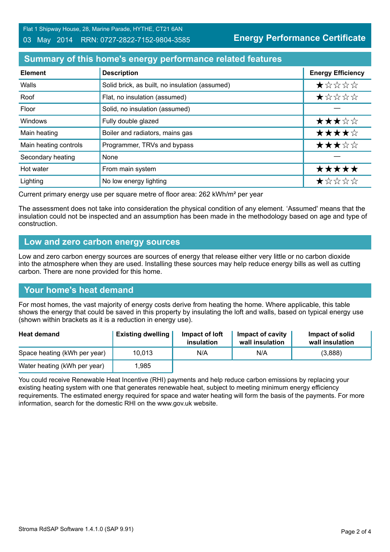Flat 1 Shipway House, 28, Marine Parade, HYTHE, CT21 6AN

#### 03 May 2014 RRN: 0727-2822-7152-9804-3585

**Energy Performance Certificate**

### **Summary of this home's energy performance related features**

| <b>Element</b>        | <b>Description</b>                             | <b>Energy Efficiency</b> |
|-----------------------|------------------------------------------------|--------------------------|
| Walls                 | Solid brick, as built, no insulation (assumed) | *****                    |
| Roof                  | Flat, no insulation (assumed)                  | *****                    |
| Floor                 | Solid, no insulation (assumed)                 |                          |
| <b>Windows</b>        | Fully double glazed                            | ★★★☆☆                    |
| Main heating          | Boiler and radiators, mains gas                | ★★★★☆                    |
| Main heating controls | Programmer, TRVs and bypass                    | ★★★☆☆                    |
| Secondary heating     | None                                           |                          |
| Hot water             | From main system                               | *****                    |
| Lighting              | No low energy lighting                         | *****                    |

Current primary energy use per square metre of floor area: 262 kWh/m² per year

The assessment does not take into consideration the physical condition of any element. 'Assumed' means that the insulation could not be inspected and an assumption has been made in the methodology based on age and type of construction.

#### **Low and zero carbon energy sources**

Low and zero carbon energy sources are sources of energy that release either very little or no carbon dioxide into the atmosphere when they are used. Installing these sources may help reduce energy bills as well as cutting carbon. There are none provided for this home.

#### **Your home's heat demand**

For most homes, the vast majority of energy costs derive from heating the home. Where applicable, this table shows the energy that could be saved in this property by insulating the loft and walls, based on typical energy use (shown within brackets as it is a reduction in energy use).

| <b>Heat demand</b>           | <b>Existing dwelling</b> | Impact of loft<br>insulation | Impact of cavity<br>wall insulation | Impact of solid<br>wall insulation |
|------------------------------|--------------------------|------------------------------|-------------------------------------|------------------------------------|
| Space heating (kWh per year) | 10,013                   | N/A                          | N/A                                 | (3,888)                            |
| Water heating (kWh per year) | .985                     |                              |                                     |                                    |

You could receive Renewable Heat Incentive (RHI) payments and help reduce carbon emissions by replacing your existing heating system with one that generates renewable heat, subject to meeting minimum energy efficiency requirements. The estimated energy required for space and water heating will form the basis of the payments. For more information, search for the domestic RHI on the www.gov.uk website.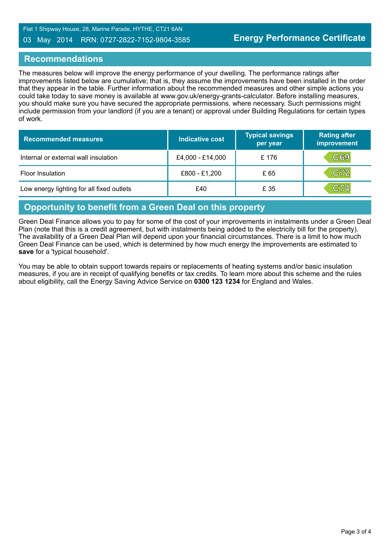Flat 1 Shipway House, 28, Marine Parade, HYTHE, CT21 6AN

#### 03 May 2014 RRN: 0727-2822-7152-9804-3585

#### **Recommendations**

The measures below will improve the energy performance of your dwelling. The performance ratings after improvements listed below are cumulative; that is, they assume the improvements have been installed in the order that they appear in the table. Further information about the recommended measures and other simple actions you could take today to save money is available at www.gov.uk/energy-grants-calculator. Before installing measures, you should make sure you have secured the appropriate permissions, where necessary. Such permissions might include permission from your landlord (if you are a tenant) or approval under Building Regulations for certain types of work.

| <b>Recommended measures</b>               | <b>Indicative cost</b> | <b>Typical savings</b><br>per year | <b>Rating after</b><br>improvement |
|-------------------------------------------|------------------------|------------------------------------|------------------------------------|
| Internal or external wall insulation      | £4,000 - £14,000       | £176                               | C69                                |
| <b>Floor Insulation</b>                   | £800 - £1,200          | £ 65                               | C72                                |
| Low energy lighting for all fixed outlets | £40                    | £ 35                               | C74                                |

#### **Opportunity to benefit from a Green Deal on this property**

Green Deal Finance allows you to pay for some of the cost of your improvements in instalments under a Green Deal Plan (note that this is a credit agreement, but with instalments being added to the electricity bill for the property). The availability of a Green Deal Plan will depend upon your financial circumstances. There is a limit to how much Green Deal Finance can be used, which is determined by how much energy the improvements are estimated to **save** for a 'typical household'.

You may be able to obtain support towards repairs or replacements of heating systems and/or basic insulation measures, if you are in receipt of qualifying benefits or tax credits. To learn more about this scheme and the rules about eligibility, call the Energy Saving Advice Service on **0300 123 1234** for England and Wales.